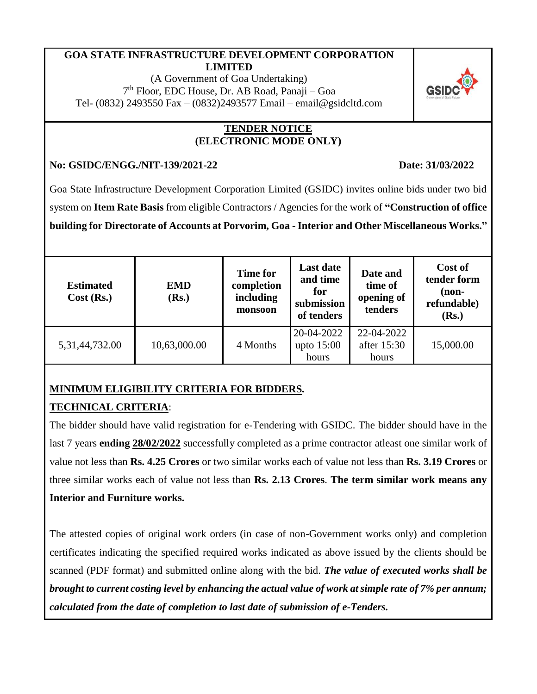### **GOA STATE INFRASTRUCTURE DEVELOPMENT CORPORATION LIMITED**

(A Government of Goa Undertaking) 7 th Floor, EDC House, Dr. AB Road, Panaji – Goa Tel- (0832) 2493550 Fax – (0832)2493577 Email – [email@gsidcltd.com](mailto:email@gsidcltd.com)

### **TENDER NOTICE (ELECTRONIC MODE ONLY)**

### **No: GSIDC/ENGG./NIT-139/2021-22 Date: 31/03/2022**

Goa State Infrastructure Development Corporation Limited (GSIDC) invites online bids under two bid system on **Item Rate Basis** from eligible Contractors / Agencies for the work of **"Construction of office** 

**building for Directorate of Accounts at Porvorim, Goa - Interior and Other Miscellaneous Works."** 

| <b>Estimated</b><br>Cost (Rs.) | <b>EMD</b><br>(Rs.) | <b>Time for</b><br>completion<br>including<br>monsoon | <b>Last date</b><br>and time<br>for<br>submission<br>of tenders | Date and<br>time of<br>opening of<br>tenders | Cost of<br>tender form<br>$non-$<br>refundable)<br>(Rs.) |
|--------------------------------|---------------------|-------------------------------------------------------|-----------------------------------------------------------------|----------------------------------------------|----------------------------------------------------------|
| 5, 31, 44, 732.00              | 10,63,000.00        | 4 Months                                              | 20-04-2022<br>upto $15:00$<br>hours                             | 22-04-2022<br>after 15:30<br>hours           | 15,000.00                                                |

# **MINIMUM ELIGIBILITY CRITERIA FOR BIDDERS***.*

# **TECHNICAL CRITERIA**:

The bidder should have valid registration for e-Tendering with GSIDC. The bidder should have in the last 7 years **ending 28/02/2022** successfully completed as a prime contractor atleast one similar work of value not less than **Rs. 4.25 Crores** or two similar works each of value not less than **Rs. 3.19 Crores** or three similar works each of value not less than **Rs. 2.13 Crores**. **The term similar work means any Interior and Furniture works.**

The attested copies of original work orders (in case of non-Government works only) and completion certificates indicating the specified required works indicated as above issued by the clients should be scanned (PDF format) and submitted online along with the bid. *The value of executed works shall be brought to current costing level by enhancing the actual value of work at simple rate of 7% per annum; calculated from the date of completion to last date of submission of e-Tenders.*

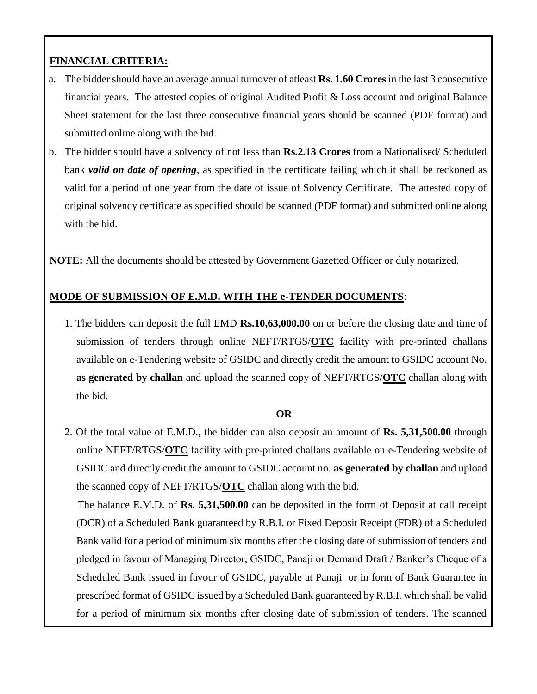# **FINANCIAL CRITERIA:**

- a. The bidder should have an average annual turnover of atleast **Rs. 1.60 Crores** in the last 3 consecutive financial years. The attested copies of original Audited Profit & Loss account and original Balance Sheet statement for the last three consecutive financial years should be scanned (PDF format) and submitted online along with the bid.
- b. The bidder should have a solvency of not less than **Rs.2.13 Crores** from a Nationalised/ Scheduled bank *valid on date of opening*, as specified in the certificate failing which it shall be reckoned as valid for a period of one year from the date of issue of Solvency Certificate. The attested copy of original solvency certificate as specified should be scanned (PDF format) and submitted online along with the bid.

**NOTE:** All the documents should be attested by Government Gazetted Officer or duly notarized.

# **MODE OF SUBMISSION OF E.M.D. WITH THE e-TENDER DOCUMENTS**:

1. The bidders can deposit the full EMD **Rs.10,63,000.00** on or before the closing date and time of submission of tenders through online NEFT/RTGS/**OTC** facility with pre-printed challans available on e-Tendering website of GSIDC and directly credit the amount to GSIDC account No. **as generated by challan** and upload the scanned copy of NEFT/RTGS/**OTC** challan along with the bid.

#### **OR**

2. Of the total value of E.M.D., the bidder can also deposit an amount of **Rs. 5,31,500.00** through online NEFT/RTGS/**OTC** facility with pre-printed challans available on e-Tendering website of GSIDC and directly credit the amount to GSIDC account no. **as generated by challan** and upload the scanned copy of NEFT/RTGS/**OTC** challan along with the bid. The balance E.M.D. of **Rs. 5,31,500.00** can be deposited in the form of Deposit at call receipt

(DCR) of a Scheduled Bank guaranteed by R.B.I. or Fixed Deposit Receipt (FDR) of a Scheduled Bank valid for a period of minimum six months after the closing date of submission of tenders and pledged in favour of Managing Director, GSIDC, Panaji or Demand Draft / Banker's Cheque of a Scheduled Bank issued in favour of GSIDC, payable at Panaji or in form of Bank Guarantee in prescribed format of GSIDC issued by a Scheduled Bank guaranteed by R.B.I. which shall be valid for a period of minimum six months after closing date of submission of tenders. The scanned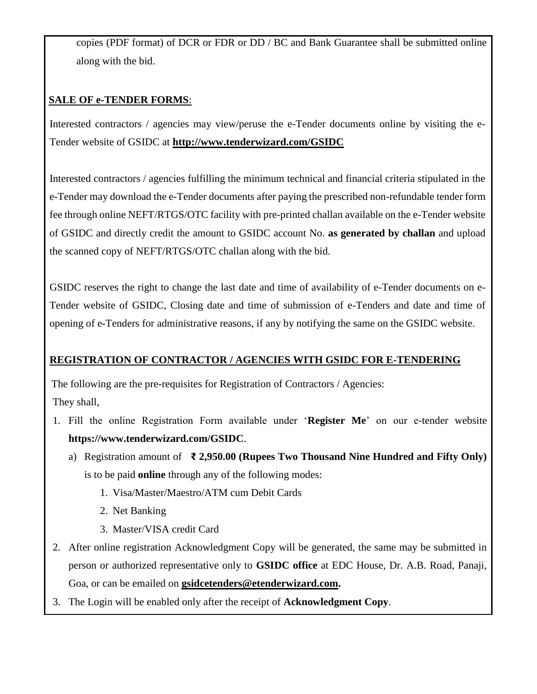copies (PDF format) of DCR or FDR or DD / BC and Bank Guarantee shall be submitted online along with the bid.

# **SALE OF e-TENDER FORMS**:

Interested contractors / agencies may view/peruse the e-Tender documents online by visiting the e-Tender website of GSIDC at **<http://www.tenderwizard.com/GSIDC>**

Interested contractors / agencies fulfilling the minimum technical and financial criteria stipulated in the e-Tender may download the e-Tender documents after paying the prescribed non-refundable tender form fee through online NEFT/RTGS/OTC facility with pre-printed challan available on the e-Tender website of GSIDC and directly credit the amount to GSIDC account No. **as generated by challan** and upload the scanned copy of NEFT/RTGS/OTC challan along with the bid.

GSIDC reserves the right to change the last date and time of availability of e-Tender documents on e-Tender website of GSIDC, Closing date and time of submission of e-Tenders and date and time of opening of e-Tenders for administrative reasons, if any by notifying the same on the GSIDC website.

# **REGISTRATION OF CONTRACTOR / AGENCIES WITH GSIDC FOR E-TENDERING**

The following are the pre-requisites for Registration of Contractors / Agencies: They shall,

- 1. Fill the online Registration Form available under '**Register Me**' on our e-tender website **https://www.tenderwizard.com/GSIDC**.
	- a) Registration amount of **₹ 2,950.00 (Rupees Two Thousand Nine Hundred and Fifty Only)**  is to be paid **online** through any of the following modes:
		- 1. Visa/Master/Maestro/ATM cum Debit Cards
		- 2. Net Banking
		- 3. Master/VISA credit Card
- 2. After online registration Acknowledgment Copy will be generated, the same may be submitted in person or authorized representative only to **GSIDC office** at EDC House, Dr. A.B. Road, Panaji, Goa, or can be emailed on **[gsidcetenders@etenderwizard.com.](mailto:gsidcetenders@etenderwizard.com)**
- 3. The Login will be enabled only after the receipt of **Acknowledgment Copy**.